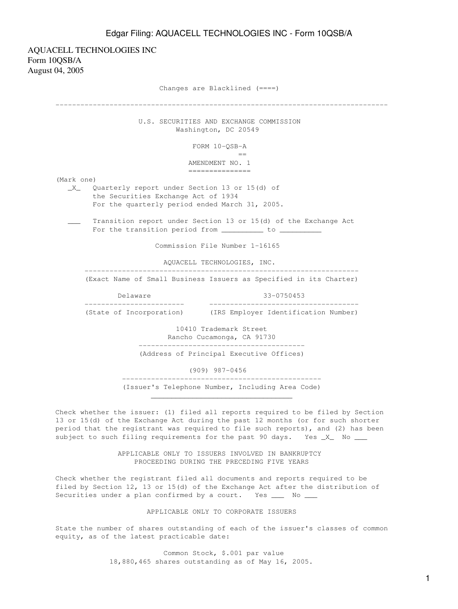## Edgar Filing: AQUACELL TECHNOLOGIES INC - Form 10QSB/A

AQUACELL TECHNOLOGIES INC Form 10QSB/A August 04, 2005 Changes are Blacklined (====) -------------------------------------------------------------------------------- U.S. SECURITIES AND EXCHANGE COMMISSION Washington, DC 20549 FORM 10-QSB-A en de la construction de la construction de la construction de la construction de la construction de la constr<br>La construction de la construction de la construction de la construction de la construction de la construction AMENDMENT NO. 1 =============== (Mark one) \_X\_ Quarterly report under Section 13 or 15(d) of the Securities Exchange Act of 1934 For the quarterly period ended March 31, 2005. Transition report under Section 13 or 15(d) of the Exchange Act For the transition period from \_\_\_\_\_\_\_\_\_\_ to \_\_\_\_\_\_\_\_\_\_\_ Commission File Number 1-16165 AQUACELL TECHNOLOGIES, INC. ------------------------------------------------------------------ (Exact Name of Small Business Issuers as Specified in its Charter) Delaware 33-0750453 ------------------------ ------------------------------------ (State of Incorporation) (IRS Employer Identification Number) 10410 Trademark Street Rancho Cucamonga, CA 91730 ---------------------------------------- (Address of Principal Executive Offices) (909) 987-0456 ------------------------------------------------ (Issuer's Telephone Number, Including Area Code)

 $\overline{\phantom{a}}$  ,  $\overline{\phantom{a}}$  ,  $\overline{\phantom{a}}$  ,  $\overline{\phantom{a}}$  ,  $\overline{\phantom{a}}$  ,  $\overline{\phantom{a}}$  ,  $\overline{\phantom{a}}$  ,  $\overline{\phantom{a}}$  ,  $\overline{\phantom{a}}$  ,  $\overline{\phantom{a}}$  ,  $\overline{\phantom{a}}$  ,  $\overline{\phantom{a}}$  ,  $\overline{\phantom{a}}$  ,  $\overline{\phantom{a}}$  ,  $\overline{\phantom{a}}$  ,  $\overline{\phantom{a}}$ 

Check whether the issuer: (1) filed all reports required to be filed by Section 13 or 15(d) of the Exchange Act during the past 12 months (or for such shorter period that the registrant was required to file such reports), and (2) has been subject to such filing requirements for the past 90 days. Yes  $X$  No  $-$ 

> APPLICABLE ONLY TO ISSUERS INVOLVED IN BANKRUPTCY PROCEEDING DURING THE PRECEDING FIVE YEARS

Check whether the registrant filed all documents and reports required to be filed by Section 12, 13 or 15(d) of the Exchange Act after the distribution of Securities under a plan confirmed by a court. Yes \_\_\_ No \_\_\_

### APPLICABLE ONLY TO CORPORATE ISSUERS

State the number of shares outstanding of each of the issuer's classes of common equity, as of the latest practicable date:

> Common Stock, \$.001 par value 18,880,465 shares outstanding as of May 16, 2005.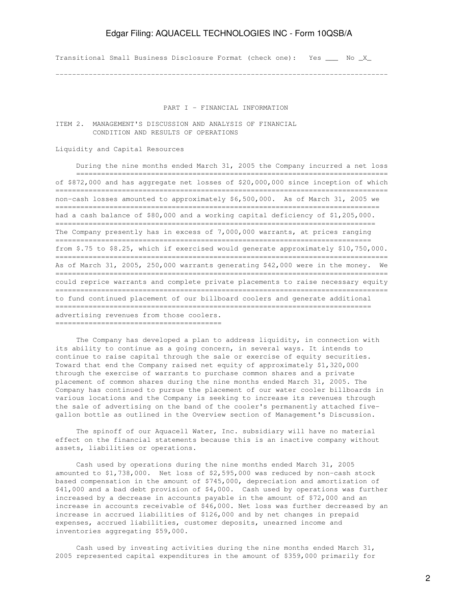# Edgar Filing: AQUACELL TECHNOLOGIES INC - Form 10QSB/A

Transitional Small Business Disclosure Format (check one): Yes \_\_\_ No \_X\_

--------------------------------------------------------------------------------

#### PART I - FINANCIAL INFORMATION

ITEM 2. MANAGEMENT'S DISCUSSION AND ANALYSIS OF FINANCIAL CONDITION AND RESULTS OF OPERATIONS

### Liquidity and Capital Resources

 During the nine months ended March 31, 2005 the Company incurred a net loss =========================================================================== of \$872,000 and has aggregate net losses of \$20,000,000 since inception of which ================================================================================ non-cash losses amounted to approximately \$6,500,000. As of March 31, 2005 we ============================================================================== had a cash balance of \$80,000 and a working capital deficiency of \$1,205,000. ============================================================================= The Company presently has in excess of 7,000,000 warrants, at prices ranging ============================================================================ from \$.75 to \$8.25, which if exercised would generate approximately \$10,750,000. ================================================================================ As of March 31, 2005, 250,000 warrants generating \$42,000 were in the money. We ================================================================================ could reprice warrants and complete private placements to raise necessary equity ================================================================================ to fund continued placement of our billboard coolers and generate additional ============================================================================ advertising revenues from those coolers. ========================================

 The Company has developed a plan to address liquidity, in connection with its ability to continue as a going concern, in several ways. It intends to continue to raise capital through the sale or exercise of equity securities. Toward that end the Company raised net equity of approximately \$1,320,000 through the exercise of warrants to purchase common shares and a private placement of common shares during the nine months ended March 31, 2005. The Company has continued to pursue the placement of our water cooler billboards in various locations and the Company is seeking to increase its revenues through the sale of advertising on the band of the cooler's permanently attached fivegallon bottle as outlined in the Overview section of Management's Discussion.

 The spinoff of our Aquacell Water, Inc. subsidiary will have no material effect on the financial statements because this is an inactive company without assets, liabilities or operations.

 Cash used by operations during the nine months ended March 31, 2005 amounted to \$1,738,000. Net loss of \$2,595,000 was reduced by non-cash stock based compensation in the amount of \$745,000, depreciation and amortization of \$41,000 and a bad debt provision of \$4,000. Cash used by operations was further increased by a decrease in accounts payable in the amount of \$72,000 and an increase in accounts receivable of \$46,000. Net loss was further decreased by an increase in accrued liabilities of \$126,000 and by net changes in prepaid expenses, accrued liabilities, customer deposits, unearned income and inventories aggregating \$59,000.

 Cash used by investing activities during the nine months ended March 31, 2005 represented capital expenditures in the amount of \$359,000 primarily for